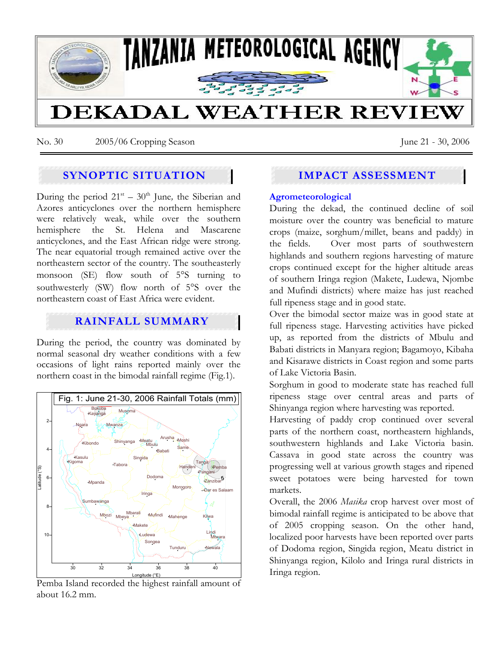

No. 30 2005/06 Cropping Season June 21 - 30, 2006

# **SYNOPTIC SITUATION**

During the period  $21<sup>st</sup> - 30<sup>th</sup>$  June, the Siberian and Azores anticyclones over the northern hemisphere were relatively weak, while over the southern hemisphere the St. Helena and Mascarene anticyclones, and the East African ridge were strong. The near equatorial trough remained active over the northeastern sector of the country. The southeasterly monsoon (SE) flow south of 5°S turning to southwesterly (SW) flow north of 5°S over the northeastern coast of East Africa were evident.

## **RAINFALL SUMMARY**

During the period, the country was dominated by normal seasonal dry weather conditions with a few occasions of light rains reported mainly over the northern coast in the bimodal rainfall regime (Fig.1).



Pemba Island recorded the highest rainfall amount of about 16.2 mm.

# **IMPACT ASSESSMENT**

### **Agrometeorological**

During the dekad, the continued decline of soil moisture over the country was beneficial to mature crops (maize, sorghum/millet, beans and paddy) in the fields. Over most parts of southwestern highlands and southern regions harvesting of mature crops continued except for the higher altitude areas of southern Iringa region (Makete, Ludewa, Njombe and Mufindi districts) where maize has just reached full ripeness stage and in good state.

Over the bimodal sector maize was in good state at full ripeness stage. Harvesting activities have picked up, as reported from the districts of Mbulu and Babati districts in Manyara region; Bagamoyo, Kibaha and Kisarawe districts in Coast region and some parts of Lake Victoria Basin.

Sorghum in good to moderate state has reached full ripeness stage over central areas and parts of Shinyanga region where harvesting was reported.

Harvesting of paddy crop continued over several parts of the northern coast, northeastern highlands, southwestern highlands and Lake Victoria basin. Cassava in good state across the country was progressing well at various growth stages and ripened sweet potatoes were being harvested for town markets.

Overall, the 2006 *Masika* crop harvest over most of bimodal rainfall regime is anticipated to be above that of 2005 cropping season. On the other hand, localized poor harvests have been reported over parts of Dodoma region, Singida region, Meatu district in Shinyanga region, Kilolo and Iringa rural districts in Iringa region.